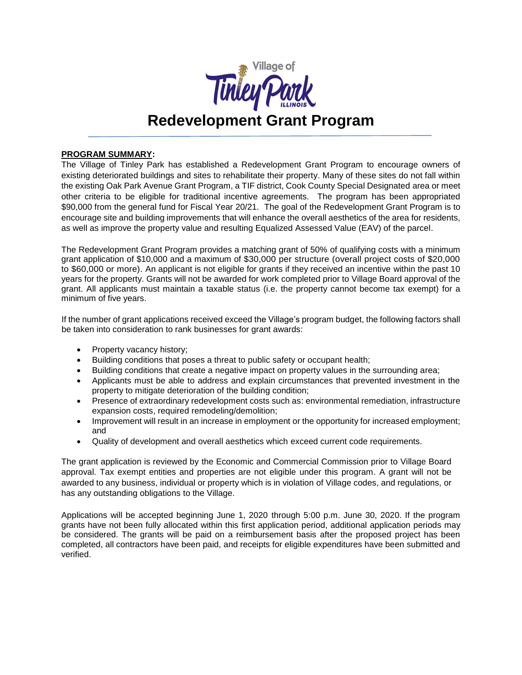

# **Redevelopment Grant Program**

# **PROGRAM SUMMARY:**

The Village of Tinley Park has established a Redevelopment Grant Program to encourage owners of existing deteriorated buildings and sites to rehabilitate their property. Many of these sites do not fall within the existing Oak Park Avenue Grant Program, a TIF district, Cook County Special Designated area or meet other criteria to be eligible for traditional incentive agreements. The program has been appropriated \$90,000 from the general fund for Fiscal Year 20/21. The goal of the Redevelopment Grant Program is to encourage site and building improvements that will enhance the overall aesthetics of the area for residents, as well as improve the property value and resulting Equalized Assessed Value (EAV) of the parcel.

The Redevelopment Grant Program provides a matching grant of 50% of qualifying costs with a minimum grant application of \$10,000 and a maximum of \$30,000 per structure (overall project costs of \$20,000 to \$60,000 or more). An applicant is not eligible for grants if they received an incentive within the past 10 years for the property. Grants will not be awarded for work completed prior to Village Board approval of the grant. All applicants must maintain a taxable status (i.e. the property cannot become tax exempt) for a minimum of five years.

If the number of grant applications received exceed the Village's program budget, the following factors shall be taken into consideration to rank businesses for grant awards:

- Property vacancy history;
- Building conditions that poses a threat to public safety or occupant health;
- Building conditions that create a negative impact on property values in the surrounding area;
- Applicants must be able to address and explain circumstances that prevented investment in the property to mitigate deterioration of the building condition;
- Presence of extraordinary redevelopment costs such as: environmental remediation, infrastructure expansion costs, required remodeling/demolition;
- Improvement will result in an increase in employment or the opportunity for increased employment; and
- Quality of development and overall aesthetics which exceed current code requirements.

The grant application is reviewed by the Economic and Commercial Commission prior to Village Board approval. Tax exempt entities and properties are not eligible under this program. A grant will not be awarded to any business, individual or property which is in violation of Village codes, and regulations, or has any outstanding obligations to the Village.

Applications will be accepted beginning June 1, 2020 through 5:00 p.m. June 30, 2020. If the program grants have not been fully allocated within this first application period, additional application periods may be considered. The grants will be paid on a reimbursement basis after the proposed project has been completed, all contractors have been paid, and receipts for eligible expenditures have been submitted and verified.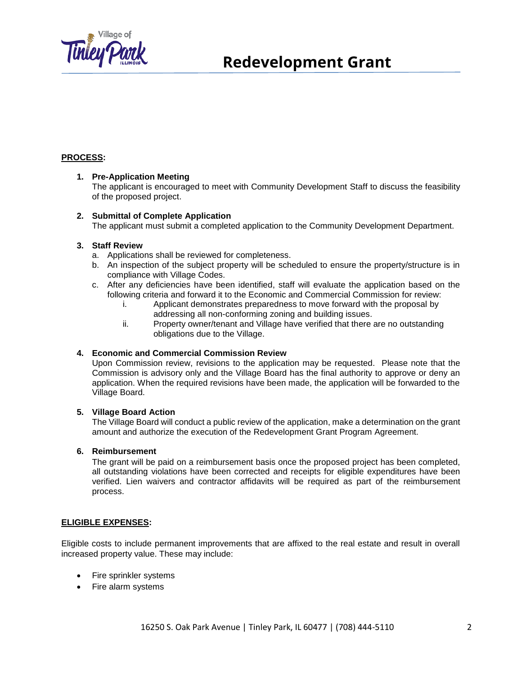

# **Redevelopment Grant**

# **PROCESS:**

#### **1. Pre-Application Meeting**

The applicant is encouraged to meet with Community Development Staff to discuss the feasibility of the proposed project.

#### **2. Submittal of Complete Application**

The applicant must submit a completed application to the Community Development Department.

#### **3. Staff Review**

- a. Applications shall be reviewed for completeness.
- b. An inspection of the subject property will be scheduled to ensure the property/structure is in compliance with Village Codes.
- c. After any deficiencies have been identified, staff will evaluate the application based on the following criteria and forward it to the Economic and Commercial Commission for review:
	- i. Applicant demonstrates preparedness to move forward with the proposal by addressing all non-conforming zoning and building issues.
	- ii. Property owner/tenant and Village have verified that there are no outstanding obligations due to the Village.

#### **4. Economic and Commercial Commission Review**

Upon Commission review, revisions to the application may be requested. Please note that the Commission is advisory only and the Village Board has the final authority to approve or deny an application. When the required revisions have been made, the application will be forwarded to the Village Board.

### **5. Village Board Action**

The Village Board will conduct a public review of the application, make a determination on the grant amount and authorize the execution of the Redevelopment Grant Program Agreement.

#### **6. Reimbursement**

The grant will be paid on a reimbursement basis once the proposed project has been completed, all outstanding violations have been corrected and receipts for eligible expenditures have been verified. Lien waivers and contractor affidavits will be required as part of the reimbursement process.

#### **ELIGIBLE EXPENSES:**

Eligible costs to include permanent improvements that are affixed to the real estate and result in overall increased property value. These may include:

- Fire sprinkler systems
- Fire alarm systems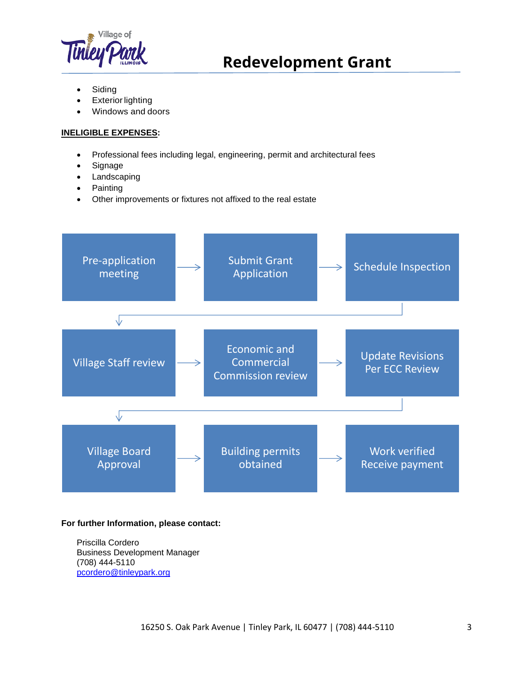

# **Redevelopment Grant**

- **Siding**
- **Exterior lighting**
- Windows and doors

# **INELIGIBLE EXPENSES:**

- Professional fees including legal, engineering, permit and architectural fees
- Signage
- Landscaping
- Painting
- Other improvements or fixtures not affixed to the real estate



### **For further Information, please contact:**

Priscilla Cordero Business Development Manager (708) 444-5110 [pcordero@tinleypark.org](mailto:pcordero@tinleypark.org)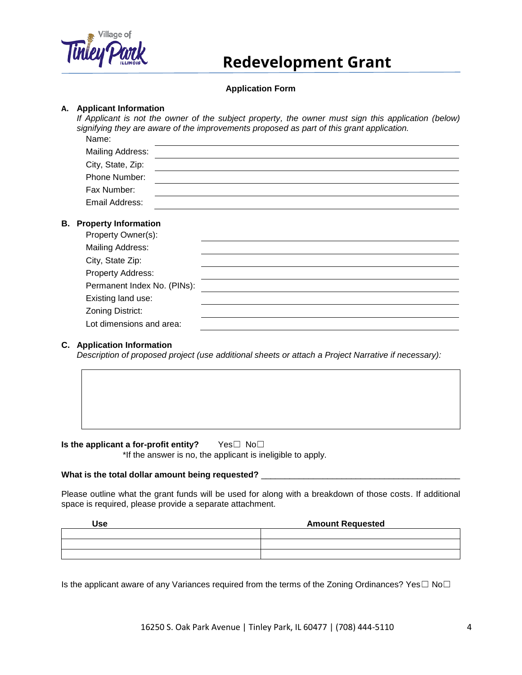

# **Redevelopment Grant**

# **Application Form**

#### **A. Applicant Information**

*If Applicant is not the owner of the subject property, the owner must sign this application (below) signifying they are aware of the improvements proposed as part of this grant application.* Name:

| 114111V.                                             |  |
|------------------------------------------------------|--|
| Mailing Address:                                     |  |
| City, State, Zip:                                    |  |
| Phone Number:                                        |  |
| Fax Number:                                          |  |
| Email Address:                                       |  |
|                                                      |  |
| <b>B.</b> Property Information<br>Property Owner(s): |  |
|                                                      |  |

| Mailing Address:            |  |
|-----------------------------|--|
| City, State Zip:            |  |
| Property Address:           |  |
| Permanent Index No. (PINs): |  |
| Existing land use:          |  |
| Zoning District:            |  |
| Lot dimensions and area:    |  |

#### **C. Application Information**

*Description of proposed project (use additional sheets or attach a Project Narrative if necessary):*

**Is the applicant a for-profit entity?** Yes□ No□ \*If the answer is no, the applicant is ineligible to apply.

#### What is the total dollar amount being requested? \_\_\_\_\_\_\_\_\_\_\_\_\_\_\_\_\_\_\_\_\_\_\_\_\_\_\_\_\_\_\_

Please outline what the grant funds will be used for along with a breakdown of those costs. If additional space is required, please provide a separate attachment.

| <b>Use</b> | <b>Amount Requested</b> |
|------------|-------------------------|
|            |                         |
|            |                         |
|            |                         |

Is the applicant aware of any Variances required from the terms of the Zoning Ordinances? Yes $\Box$  No $\Box$